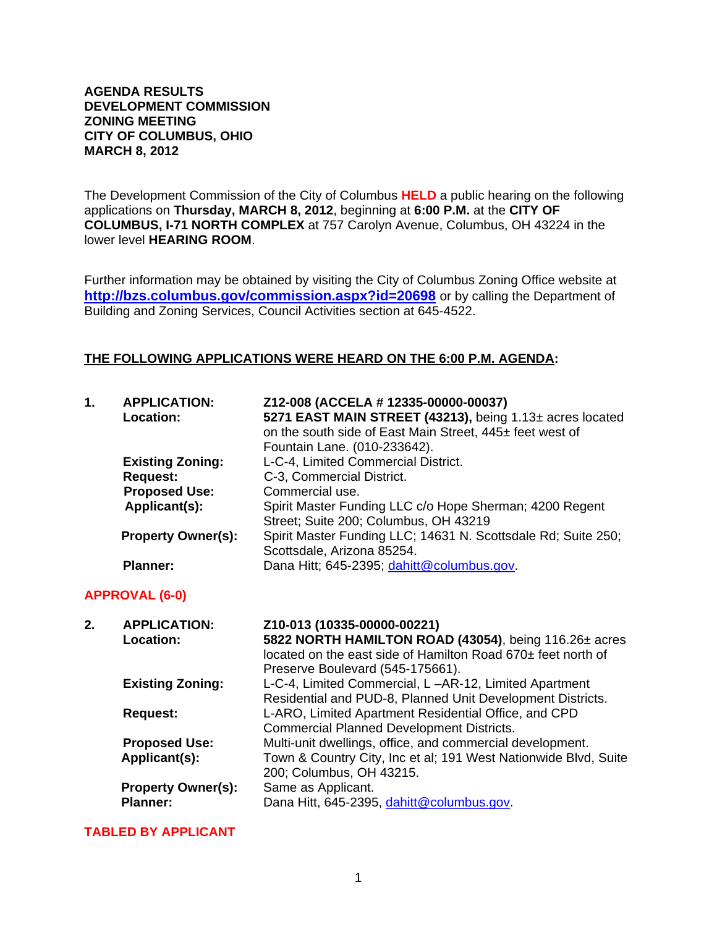#### **AGENDA RESULTS DEVELOPMENT COMMISSION ZONING MEETING CITY OF COLUMBUS, OHIO MARCH 8, 2012**

The Development Commission of the City of Columbus **HELD** a public hearing on the following applications on **Thursday, MARCH 8, 2012**, beginning at **6:00 P.M.** at the **CITY OF COLUMBUS, I-71 NORTH COMPLEX** at 757 Carolyn Avenue, Columbus, OH 43224 in the lower level **HEARING ROOM**.

Further information may be obtained by visiting the City of Columbus Zoning Office website at **http://bzs.columbus.gov/commission.aspx?id=20698** or by calling the Department of Building and Zoning Services, Council Activities section at 645-4522.

### **THE FOLLOWING APPLICATIONS WERE HEARD ON THE 6:00 P.M. AGENDA:**

| 1. | <b>APPLICATION:</b><br>Location: | Z12-008 (ACCELA #12335-00000-00037)<br>5271 EAST MAIN STREET (43213), being 1.13± acres located<br>on the south side of East Main Street, 445± feet west of<br>Fountain Lane. (010-233642). |
|----|----------------------------------|---------------------------------------------------------------------------------------------------------------------------------------------------------------------------------------------|
|    | <b>Existing Zoning:</b>          | L-C-4, Limited Commercial District.                                                                                                                                                         |
|    | <b>Request:</b>                  | C-3, Commercial District.                                                                                                                                                                   |
|    | <b>Proposed Use:</b>             | Commercial use.                                                                                                                                                                             |
|    | Applicant(s):                    | Spirit Master Funding LLC c/o Hope Sherman; 4200 Regent<br>Street; Suite 200; Columbus, OH 43219                                                                                            |
|    | <b>Property Owner(s):</b>        | Spirit Master Funding LLC; 14631 N. Scottsdale Rd; Suite 250;<br>Scottsdale, Arizona 85254.                                                                                                 |
|    | <b>Planner:</b>                  | Dana Hitt; 645-2395; dahitt@columbus.gov.                                                                                                                                                   |

### **APPROVAL (6-0)**

| <b>APPLICATION:</b>       | Z10-013 (10335-00000-00221)                                     |
|---------------------------|-----------------------------------------------------------------|
|                           | 5822 NORTH HAMILTON ROAD (43054), being 116.26± acres           |
|                           | located on the east side of Hamilton Road 670± feet north of    |
|                           | Preserve Boulevard (545-175661).                                |
| <b>Existing Zoning:</b>   | L-C-4, Limited Commercial, L-AR-12, Limited Apartment           |
|                           | Residential and PUD-8, Planned Unit Development Districts.      |
| <b>Request:</b>           | L-ARO, Limited Apartment Residential Office, and CPD            |
|                           | <b>Commercial Planned Development Districts.</b>                |
| <b>Proposed Use:</b>      | Multi-unit dwellings, office, and commercial development.       |
| Applicant(s):             | Town & Country City, Inc et al; 191 West Nationwide Blvd, Suite |
|                           | 200; Columbus, OH 43215.                                        |
| <b>Property Owner(s):</b> | Same as Applicant.                                              |
| <b>Planner:</b>           | Dana Hitt, 645-2395, dahitt@columbus.gov.                       |
|                           | <b>Location:</b>                                                |

#### **TABLED BY APPLICANT**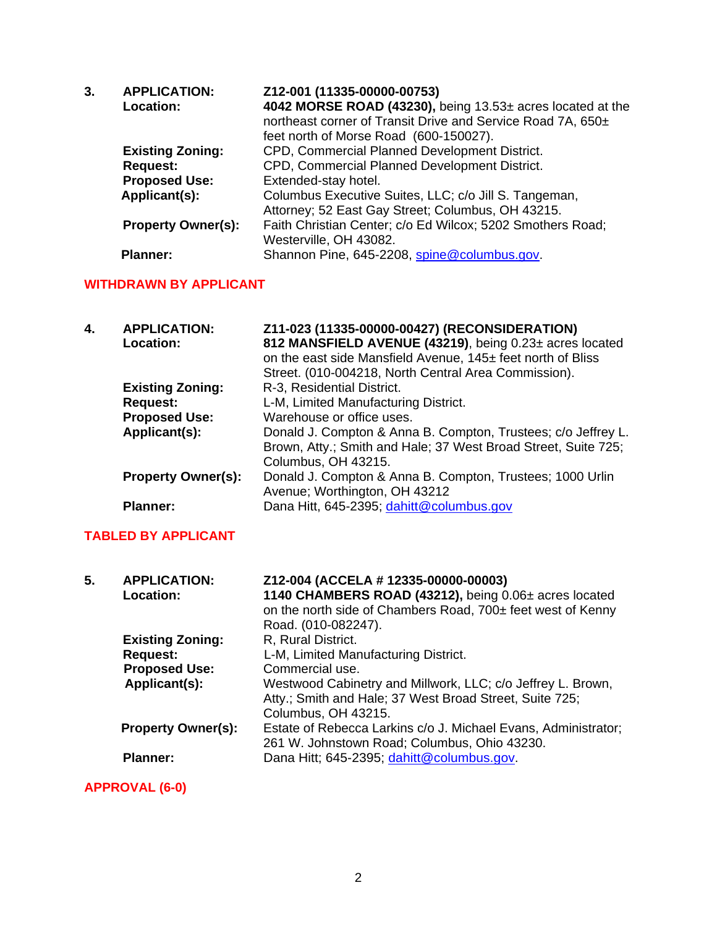| 3. | <b>APPLICATION:</b>       | Z12-001 (11335-00000-00753)                                 |
|----|---------------------------|-------------------------------------------------------------|
|    | Location:                 | 4042 MORSE ROAD (43230), being 13.53± acres located at the  |
|    |                           | northeast corner of Transit Drive and Service Road 7A, 650± |
|    |                           | feet north of Morse Road (600-150027).                      |
|    | <b>Existing Zoning:</b>   | CPD, Commercial Planned Development District.               |
|    | <b>Request:</b>           | CPD, Commercial Planned Development District.               |
|    | <b>Proposed Use:</b>      | Extended-stay hotel.                                        |
|    | Applicant(s):             | Columbus Executive Suites, LLC; c/o Jill S. Tangeman,       |
|    |                           | Attorney; 52 East Gay Street; Columbus, OH 43215.           |
|    | <b>Property Owner(s):</b> | Faith Christian Center; c/o Ed Wilcox; 5202 Smothers Road;  |
|    |                           | Westerville, OH 43082.                                      |
|    | <b>Planner:</b>           | Shannon Pine, 645-2208, spine@columbus.gov.                 |

# **WITHDRAWN BY APPLICANT**

| 4. | <b>APPLICATION:</b><br><b>Location:</b> | Z11-023 (11335-00000-00427) (RECONSIDERATION)<br>812 MANSFIELD AVENUE (43219), being 0.23± acres located<br>on the east side Mansfield Avenue, 145± feet north of Bliss<br>Street. (010-004218, North Central Area Commission). |
|----|-----------------------------------------|---------------------------------------------------------------------------------------------------------------------------------------------------------------------------------------------------------------------------------|
|    | <b>Existing Zoning:</b>                 | R-3, Residential District.                                                                                                                                                                                                      |
|    | <b>Request:</b>                         | L-M, Limited Manufacturing District.                                                                                                                                                                                            |
|    | <b>Proposed Use:</b>                    | Warehouse or office uses.                                                                                                                                                                                                       |
|    | Applicant(s):                           | Donald J. Compton & Anna B. Compton, Trustees; c/o Jeffrey L.<br>Brown, Atty.; Smith and Hale; 37 West Broad Street, Suite 725;<br>Columbus, OH 43215.                                                                          |
|    | <b>Property Owner(s):</b>               | Donald J. Compton & Anna B. Compton, Trustees; 1000 Urlin<br>Avenue; Worthington, OH 43212                                                                                                                                      |
|    | <b>Planner:</b>                         | Dana Hitt, 645-2395; dahitt@columbus.gov                                                                                                                                                                                        |

## **TABLED BY APPLICANT**

| 5. | <b>APPLICATION:</b><br>Location: | Z12-004 (ACCELA # 12335-00000-00003)<br>1140 CHAMBERS ROAD (43212), being 0.06± acres located<br>on the north side of Chambers Road, 700± feet west of Kenny<br>Road. (010-082247). |
|----|----------------------------------|-------------------------------------------------------------------------------------------------------------------------------------------------------------------------------------|
|    | <b>Existing Zoning:</b>          | R, Rural District.                                                                                                                                                                  |
|    | <b>Request:</b>                  | L-M, Limited Manufacturing District.                                                                                                                                                |
|    | <b>Proposed Use:</b>             | Commercial use.                                                                                                                                                                     |
|    | Applicant(s):                    | Westwood Cabinetry and Millwork, LLC; c/o Jeffrey L. Brown,<br>Atty.; Smith and Hale; 37 West Broad Street, Suite 725;<br>Columbus, OH 43215.                                       |
|    | <b>Property Owner(s):</b>        | Estate of Rebecca Larkins c/o J. Michael Evans, Administrator;<br>261 W. Johnstown Road; Columbus, Ohio 43230.                                                                      |
|    | <b>Planner:</b>                  | Dana Hitt; 645-2395; dahitt@columbus.gov.                                                                                                                                           |

**APPROVAL (6-0)**